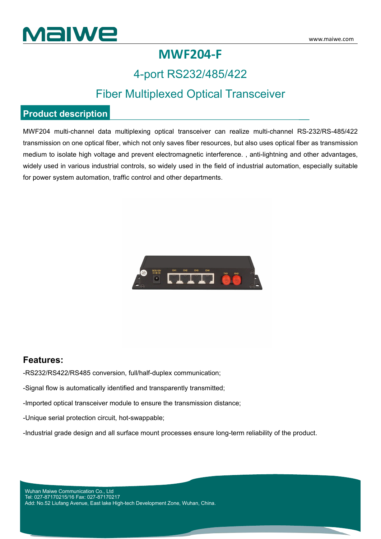

## **MWF204-F**

## 4-port RS232/485/422

## Fiber Multiplexed Optical Transceiver

#### **Product description**

MWF204 multi-channel data multiplexing optical transceiver can realize multi-channel RS-232/RS-485/422 transmission on one optical fiber, which not only saves fiber resources, but also uses optical fiber as transmission medium to isolate high voltage and prevent electromagnetic interference. , anti-lightning and other advantages, widely used in various industrial controls, so widely used in the field of industrial automation, especially suitable for power system automation, traffic control and other departments.



#### **Features:**

-RS232/RS422/RS485 conversion, full/half-duplex communication;

-Signal flow is automatically identified and transparently transmitted;

-Imported optical transceiver module to ensure the transmission distance;

-Unique serial protection circuit, hot-swappable;

-Industrial grade design and all surface mount processes ensure long-term reliability of the product.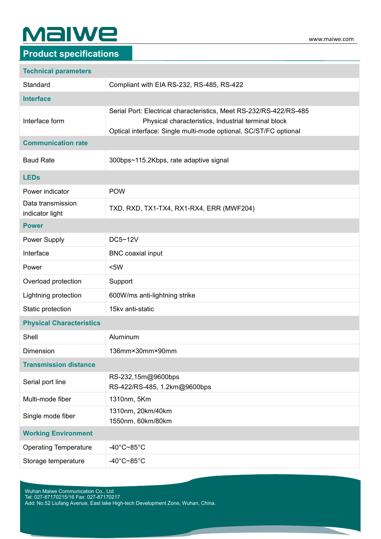# **MaIWe**

### **Product specifications**

| <b>Technical parameters</b>          |                                                                                                                                                                                               |
|--------------------------------------|-----------------------------------------------------------------------------------------------------------------------------------------------------------------------------------------------|
| Standard                             | Compliant with EIA RS-232, RS-485, RS-422                                                                                                                                                     |
| <b>Interface</b>                     |                                                                                                                                                                                               |
| Interface form                       | Serial Port: Electrical characteristics, Meet RS-232/RS-422/RS-485<br>Physical characteristics, Industrial terminal block<br>Optical interface: Single multi-mode optional, SC/ST/FC optional |
| <b>Communication rate</b>            |                                                                                                                                                                                               |
| <b>Baud Rate</b>                     | 300bps~115.2Kbps, rate adaptive signal                                                                                                                                                        |
| <b>LEDs</b>                          |                                                                                                                                                                                               |
| Power indicator                      | <b>POW</b>                                                                                                                                                                                    |
| Data transmission<br>indicator light | TXD, RXD, TX1-TX4, RX1-RX4, ERR (MWF204)                                                                                                                                                      |
| <b>Power</b>                         |                                                                                                                                                                                               |
| Power Supply                         | DC5~12V                                                                                                                                                                                       |
| Interface                            | <b>BNC</b> coaxial input                                                                                                                                                                      |
| Power                                | <5W                                                                                                                                                                                           |
| Overload protection                  | Support                                                                                                                                                                                       |
| Lightning protection                 | 600W/ms anti-lightning strike                                                                                                                                                                 |
| Static protection                    | 15kv anti-static                                                                                                                                                                              |
| <b>Physical Characteristics</b>      |                                                                                                                                                                                               |
| Shell                                | Aluminum                                                                                                                                                                                      |
| Dimension                            | 136mm×30mm×90mm                                                                                                                                                                               |
| <b>Transmission distance</b>         |                                                                                                                                                                                               |
| Serial port line                     | RS-232,15m@9600bps<br>RS-422/RS-485, 1.2km@9600bps                                                                                                                                            |
| Multi-mode fiber                     | 1310nm, 5Km                                                                                                                                                                                   |
| Single mode fiber                    | 1310nm, 20km/40km<br>1550nm, 60km/80km                                                                                                                                                        |
| <b>Working Environment</b>           |                                                                                                                                                                                               |
| <b>Operating Temperature</b>         | -40°C~85°C                                                                                                                                                                                    |
| Storage temperature                  | -40°C~85°C                                                                                                                                                                                    |

Wuhan Maiwe Communication Co., Ltd Tel: 027-87170215/16 Fax: 027-87170217 Add: No.52 Liufang Avenue, East lake High-tech Development Zone, Wuhan, China.